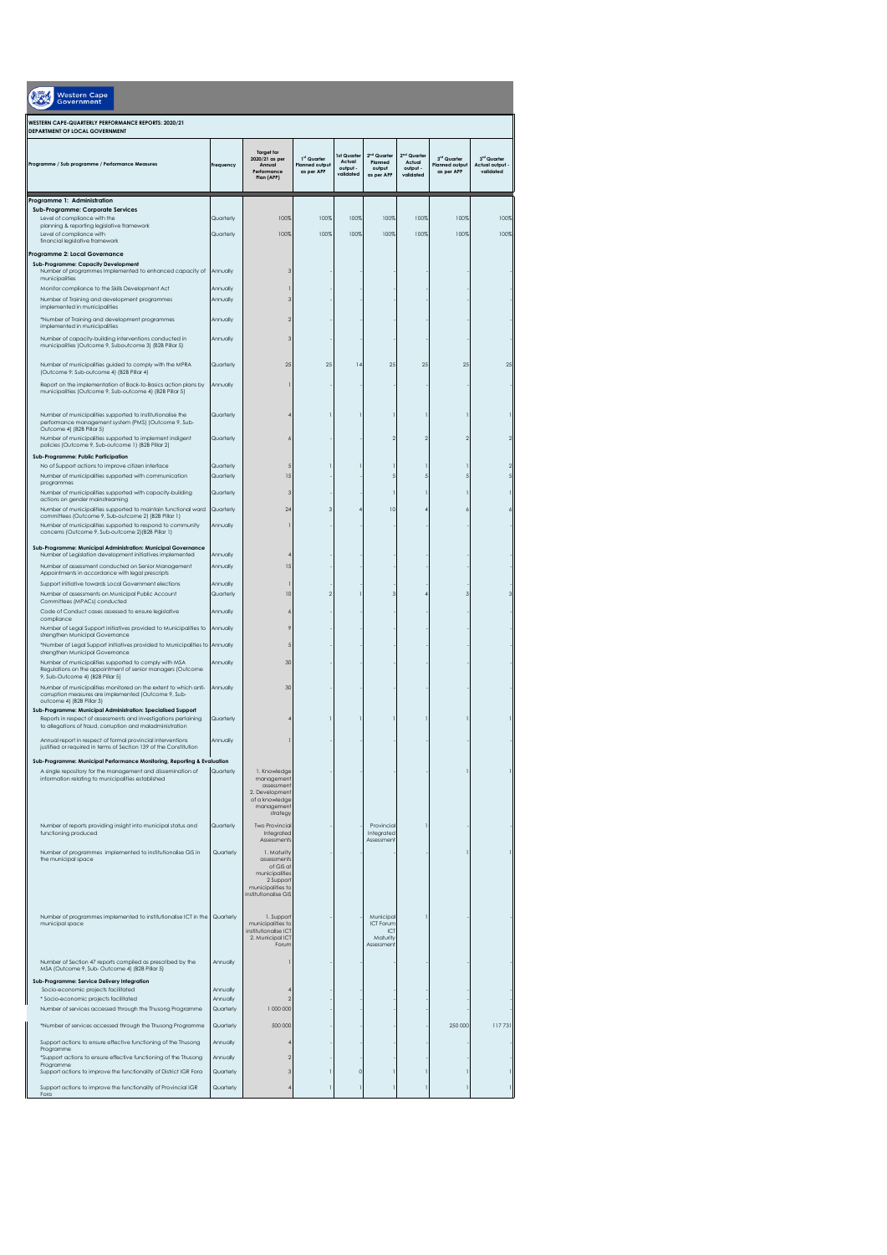| <b>Western Cape</b><br><b>Government</b>                                                                                         |                        |                                                                                                        |                                             |                                                |                                                                       |                                                            |                                                    |                                                       |  |  |
|----------------------------------------------------------------------------------------------------------------------------------|------------------------|--------------------------------------------------------------------------------------------------------|---------------------------------------------|------------------------------------------------|-----------------------------------------------------------------------|------------------------------------------------------------|----------------------------------------------------|-------------------------------------------------------|--|--|
| WESTERN CAPE-QUARTERLY PERFORMANCE REPORTS: 2020/21<br>DEPARTMENT OF LOCAL GOVERNMENT                                            |                        |                                                                                                        |                                             |                                                |                                                                       |                                                            |                                                    |                                                       |  |  |
| Programme / Sub programme / Performance Measures                                                                                 | Frequency              | <b>Target for</b><br>2020/21 as per<br>Annual<br>Performance<br>Plan (APP)                             | 1st Quarter<br>Planned output<br>as per APP | 1st Quarter<br>Actual<br>output -<br>validated | 2 <sup>nd</sup> Quarter<br>Planned<br>output<br>as per APP            | 2 <sup>nd</sup> Quarter<br>Actual<br>output -<br>betobilov | 3rd Quarter<br><b>Planned output</b><br>as per APP | 3 <sup>rd</sup> Quarter<br>Actual output<br>validated |  |  |
| Programme 1: Administration                                                                                                      |                        |                                                                                                        |                                             |                                                |                                                                       |                                                            |                                                    |                                                       |  |  |
| <b>Sub-Programme: Corporate Services</b><br>Level of compliance with the                                                         | Quarterly              | 100%                                                                                                   | 100%                                        | 100%                                           | 100%                                                                  | 100%                                                       | 100%                                               | 100%                                                  |  |  |
| planning & reporting legislative framework<br>Level of compliance with                                                           | Quarterly              | 100%                                                                                                   | 100%                                        | 100%                                           | 100%                                                                  | 100%                                                       | 100%                                               | 100%                                                  |  |  |
| financial legislative framework                                                                                                  |                        |                                                                                                        |                                             |                                                |                                                                       |                                                            |                                                    |                                                       |  |  |
| Programme 2: Local Governance<br>Sub-Programme: Capacity Development                                                             |                        |                                                                                                        |                                             |                                                |                                                                       |                                                            |                                                    |                                                       |  |  |
| Number of programmes Implemented to enhanced capacity of<br>municipalities                                                       | Annually               |                                                                                                        |                                             |                                                |                                                                       |                                                            |                                                    |                                                       |  |  |
| Monitor compliance to the Skills Development Act                                                                                 | Annually               |                                                                                                        |                                             |                                                |                                                                       |                                                            |                                                    |                                                       |  |  |
| Number of Training and development programmes<br>implemented in municipalities                                                   | Annually               | 3                                                                                                      |                                             |                                                |                                                                       |                                                            |                                                    |                                                       |  |  |
| *Number of Training and development programmes<br>implemented in municipalities                                                  | Annually               | 2                                                                                                      |                                             |                                                |                                                                       |                                                            |                                                    |                                                       |  |  |
| Number of capacity-building interventions conducted in                                                                           | Annually               | 3                                                                                                      |                                             |                                                |                                                                       |                                                            |                                                    |                                                       |  |  |
| municipalities (Outcome 9, Suboutcome 3) (B2B Pillar 5)                                                                          |                        |                                                                                                        |                                             |                                                |                                                                       |                                                            |                                                    |                                                       |  |  |
| Number of municipalities guided to comply with the MPRA<br>(Outcome 9: Sub-outcome 4) (B2B Pillar 4)                             | Quarterly              | 25                                                                                                     | 25                                          | 14                                             | 25                                                                    | 25                                                         | 25                                                 | 25                                                    |  |  |
| Report on the implementation of Back-to-Basics action plans by                                                                   | Annually               |                                                                                                        |                                             |                                                |                                                                       |                                                            |                                                    |                                                       |  |  |
| municipalities (Outcome 9, Sub-outcome 4) (B2B Pillar 5)                                                                         |                        |                                                                                                        |                                             |                                                |                                                                       |                                                            |                                                    |                                                       |  |  |
| Number of municipalities supported to institutionalise the                                                                       | Quarterly              |                                                                                                        | п                                           |                                                |                                                                       |                                                            |                                                    |                                                       |  |  |
| performance management system (PMS) (Outcome 9, Sub-<br>Outcome 4) (B2B Pillar 5)                                                |                        |                                                                                                        |                                             |                                                |                                                                       |                                                            |                                                    |                                                       |  |  |
| Number of municipalities supported to implement indigent<br>policies (Outcome 9, Sub-outcome 1) (B2B Pillar 2)                   | Quarterly              | 6                                                                                                      |                                             |                                                | c                                                                     | 2                                                          | $\overline{2}$                                     |                                                       |  |  |
| Sub-Programme: Public Participation                                                                                              |                        |                                                                                                        |                                             |                                                |                                                                       |                                                            |                                                    |                                                       |  |  |
| No of Support actions to improve citizen interface<br>Number of municipalities supported with communication                      | Quarterly<br>Quarterly | 5<br>15                                                                                                |                                             |                                                | ŗ                                                                     | 5                                                          | 5                                                  |                                                       |  |  |
| programmes<br>Number of municipalities supported with capacity-building                                                          | Quarterly              | 3                                                                                                      |                                             |                                                |                                                                       |                                                            |                                                    |                                                       |  |  |
| actions on gender mainstreaming                                                                                                  |                        |                                                                                                        |                                             |                                                |                                                                       |                                                            |                                                    |                                                       |  |  |
| Number of municipalities supported to maintain functional ward<br>committees (Outcome 9, Sub-outcome 2) (B2B Pillar 1)           | Quarterly              | 24                                                                                                     | 3                                           |                                                | 10                                                                    |                                                            |                                                    |                                                       |  |  |
| Number of municipalities supported to respond to community<br>concerns (Outcome 9, Sub-outcome 2) (B2B Pillar 1)                 | Annually               |                                                                                                        |                                             |                                                |                                                                       |                                                            |                                                    |                                                       |  |  |
| Sub-Programme: Municipal Administration: Municipal Governance                                                                    |                        |                                                                                                        |                                             |                                                |                                                                       |                                                            |                                                    |                                                       |  |  |
| Number of Legislation development initiatives implemented<br>Number of assessment conducted on Senior Management                 | Annually<br>Annually   | 15                                                                                                     |                                             |                                                |                                                                       |                                                            |                                                    |                                                       |  |  |
| Appointments in accordance with legal prescripts                                                                                 |                        |                                                                                                        |                                             |                                                |                                                                       |                                                            |                                                    |                                                       |  |  |
| Support initiative towards Local Government elections<br>Number of assessments on Municipal Public Account                       | Annually<br>Quarterly  | 10                                                                                                     | 2                                           |                                                |                                                                       |                                                            |                                                    |                                                       |  |  |
| Committees (MPACs) conducted<br>Code of Conduct cases assessed to ensure legislative                                             | Annually               | 6                                                                                                      |                                             |                                                |                                                                       |                                                            |                                                    |                                                       |  |  |
| compliance                                                                                                                       |                        | 9                                                                                                      |                                             |                                                |                                                                       |                                                            |                                                    |                                                       |  |  |
| Number of Legal Support initiatives provided to Municipalities to<br>strengthen Municipal Governance                             | Annually               |                                                                                                        |                                             |                                                |                                                                       |                                                            |                                                    |                                                       |  |  |
| *Number of Legal Support initiatives provided to Municipalities to<br>strengthen Municipal Governance                            | Annually               | 5                                                                                                      |                                             |                                                |                                                                       |                                                            |                                                    |                                                       |  |  |
| Number of municipalities supported to comply with MSA<br>Regulations on the appointment of senior managers (Outcome              | Annually               | 30                                                                                                     |                                             |                                                |                                                                       |                                                            |                                                    |                                                       |  |  |
| 9, Sub-Outcome 4) (B2B Pillar 5)<br>Number of municipalities monitored on the extent to which anti-                              | Annually               | 30                                                                                                     |                                             |                                                |                                                                       |                                                            |                                                    |                                                       |  |  |
| comuption measures are implemented (Outcome 9, Sub-<br>outcome 4) (B2B Pillar 3)                                                 |                        |                                                                                                        |                                             |                                                |                                                                       |                                                            |                                                    |                                                       |  |  |
| Sub-Programme: Municipal Administration: Specialised Support<br>Reports in respect of assessments and investigations pertaining  | Quarterly              |                                                                                                        |                                             |                                                |                                                                       |                                                            |                                                    |                                                       |  |  |
| to allegations of fraud, corruption and maladministration                                                                        |                        |                                                                                                        |                                             |                                                |                                                                       |                                                            |                                                    |                                                       |  |  |
| Annual report in respect of formal provincial interventions<br>justified or required in terms of Section 139 of the Constitution | Annually               |                                                                                                        |                                             |                                                |                                                                       |                                                            |                                                    |                                                       |  |  |
| Sub-Programme: Municipal Performance Monitoring, Reporting & Evaluation                                                          |                        |                                                                                                        |                                             |                                                |                                                                       |                                                            |                                                    |                                                       |  |  |
| A single repository for the management and dissemination of<br>information relating to municipalities established                | Quarterly              | 1. Knowledge<br>management<br>assessment<br>2. Development<br>of a knowledge<br>management<br>strategy |                                             |                                                |                                                                       |                                                            |                                                    |                                                       |  |  |
| Number of reports providing insight into municipal status and<br>functioning produced                                            | Quarterly              | Two Provincial<br>Integrated<br>Assessments                                                            |                                             |                                                | Provincial<br>Integrated<br>Assessment                                |                                                            |                                                    |                                                       |  |  |
| Number of programmes implemented to institutionalise GIS in<br>the municipal space                                               | Quarterly              | 1. Maturity<br>assessments<br>of GIS at                                                                |                                             |                                                |                                                                       |                                                            |                                                    |                                                       |  |  |
|                                                                                                                                  |                        | municipalities<br>2 Support<br>municipalities to<br>institutionalise GIS                               |                                             |                                                |                                                                       |                                                            |                                                    |                                                       |  |  |
| Number of programmes implemented to institutionalise ICT in the<br>municipal space                                               | Quarterly              | 1. Support<br>municipalities to<br>institutionalise ICT<br>2. Municipal ICT<br>Forum                   |                                             |                                                | Municipal<br><b>ICT Forum</b><br>ICT<br>Maturity<br><b>Assessment</b> |                                                            |                                                    |                                                       |  |  |
| Number of Section 47 reports compiled as prescribed by the<br>MSA (Outcome 9, Sub-Outcome 4) (B2B Pillar 5)                      | Annually               | $\mathbf{1}$                                                                                           |                                             |                                                |                                                                       |                                                            |                                                    |                                                       |  |  |
| Sub-Programme: Service Delivery Integration                                                                                      |                        |                                                                                                        |                                             |                                                |                                                                       |                                                            |                                                    |                                                       |  |  |
| Socio-economic projects facilitated<br>* Socio-economic projects facilitated                                                     | Annually<br>Annually   | $\overline{\mathcal{L}}$<br>$\overline{2}$                                                             |                                             |                                                |                                                                       |                                                            |                                                    |                                                       |  |  |
| Number of services accessed through the Thusong Programme                                                                        | Quarterly              | 1 000 000                                                                                              |                                             |                                                |                                                                       |                                                            |                                                    |                                                       |  |  |
| *Number of services accessed through the Thusong Programme                                                                       | Quarterly              | 500 000                                                                                                |                                             |                                                |                                                                       |                                                            | 250 000                                            | 117731                                                |  |  |
| Support actions to ensure effective functioning of the Thusong                                                                   | Annually               | $\boldsymbol{\Lambda}$                                                                                 |                                             |                                                |                                                                       |                                                            |                                                    |                                                       |  |  |
| Programme<br>*Support actions to ensure effective functioning of the Thusong                                                     | Annually               | $\overline{2}$                                                                                         |                                             |                                                |                                                                       |                                                            |                                                    |                                                       |  |  |
| Programme<br>Support actions to improve the functionality of District IGR Fora                                                   | Quarterly              | 3                                                                                                      |                                             | $\mathsf{C}$                                   |                                                                       |                                                            |                                                    |                                                       |  |  |
| Support actions to improve the functionality of Provincial IGR<br>Fora                                                           | Quarterly              |                                                                                                        |                                             |                                                |                                                                       |                                                            |                                                    |                                                       |  |  |